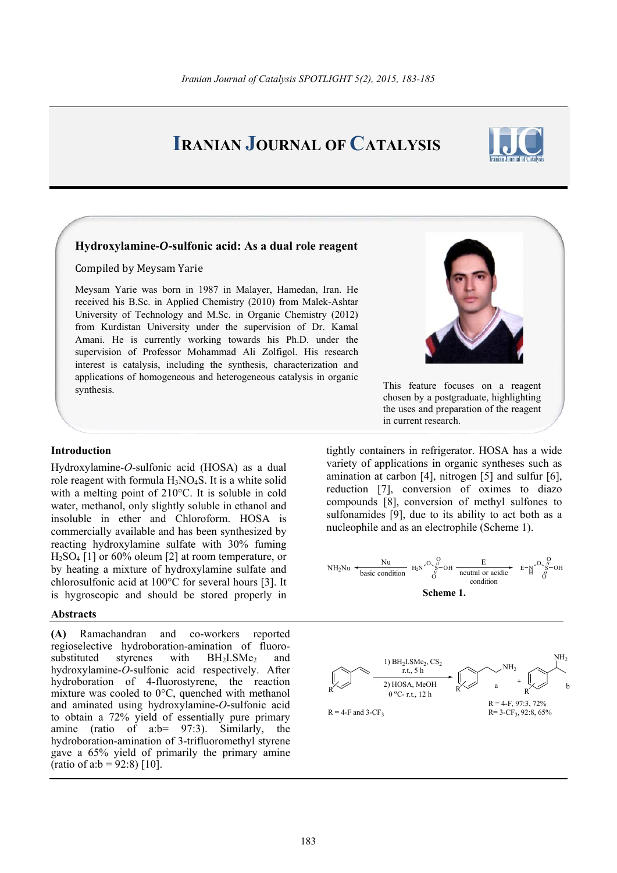# **IRANIAN JOURNAL OF CATALYSIS**



## **Hydroxylamine-***O***-sulfonic acid: As a dual role reagent**

Compiled by Meysam Yarie

Meysam Yarie was born in 1987 in Malayer, Hamedan, Iran. He received his B.Sc. in Applied Chemistry (2010) from Malek-Ashtar University of Technology and M.Sc. in Organic Chemistry (2012) from Kurdistan University under the supervision of Dr. Kamal Amani. He is currently working towards his Ph.D. under the supervision of Professor Mohammad Ali Zolfigol. His research interest is catalysis, including the synthesis, characterization and applications of homogeneous and heterogeneous catalysis in organic synthesis. This feature focuses on a reagent

### **Introduction**

Hydroxylamine-*O*-sulfonic acid (HOSA) as a dual role reagent with formula  $H_3NO_4S$ . It is a white solid with a melting point of 210°C. It is soluble in cold water, methanol, only slightly soluble in ethanol and insoluble in ether and Chloroform. HOSA is commercially available and has been synthesized by reacting hydroxylamine sulfate with 30% fuming H2SO4 [1] or 60% oleum [2] at room temperature, or by heating a mixture of hydroxylamine sulfate and chlorosulfonic acid at 100°C for several hours [3]. It is hygroscopic and should be stored properly in

### **Abstracts**

**(A)** Ramachandran and co-workers reported regioselective hydroboration-amination of fluorosubstituted styrenes with  $BH<sub>2</sub>I. SMe<sub>2</sub>$  and hydroxylamine-*O*-sulfonic acid respectively. After hydroboration of 4-fluorostyrene, the reaction mixture was cooled to 0°C, quenched with methanol and aminated using hydroxylamine-*O*-sulfonic acid to obtain a 72% yield of essentially pure primary amine (ratio of a:b= 97:3). Similarly, the hydroboration-amination of 3-trifluoromethyl styrene gave a 65% yield of primarily the primary amine (ratio of a: $b = 92:8$ ) [10].



chosen by a postgraduate, highlighting the uses and preparation of the reagent in current research.

tightly containers in refrigerator. HOSA has a wide variety of applications in organic syntheses such as amination at carbon [4], nitrogen [5] and sulfur [6], reduction [7], conversion of oximes to diazo compounds [8], conversion of methyl sulfones to sulfonamides [9], due to its ability to act both as a nucleophile and as an electrophile (Scheme 1).

NH<sub>2</sub>Nu 
$$
\xrightarrow{\text{Nu}}
$$
  $H_2N \xrightarrow{\text{O}} H_2N \xrightarrow{\text{O}} H_2N \xrightarrow{\text{O}} H_2$   $H_2$   $\xrightarrow{\text{O}} H$   $H_2$   $\xrightarrow{\text{O}} H$   $\xrightarrow{\text{O}} H$   $\xrightarrow{\text{O}} H$   $\xrightarrow{\text{O}} H$   $\xrightarrow{\text{O}} H$   $\xrightarrow{\text{O}} H$   $\xrightarrow{\text{O}} H$   $\xrightarrow{\text{O}} H$   $\xrightarrow{\text{O}} H$ 

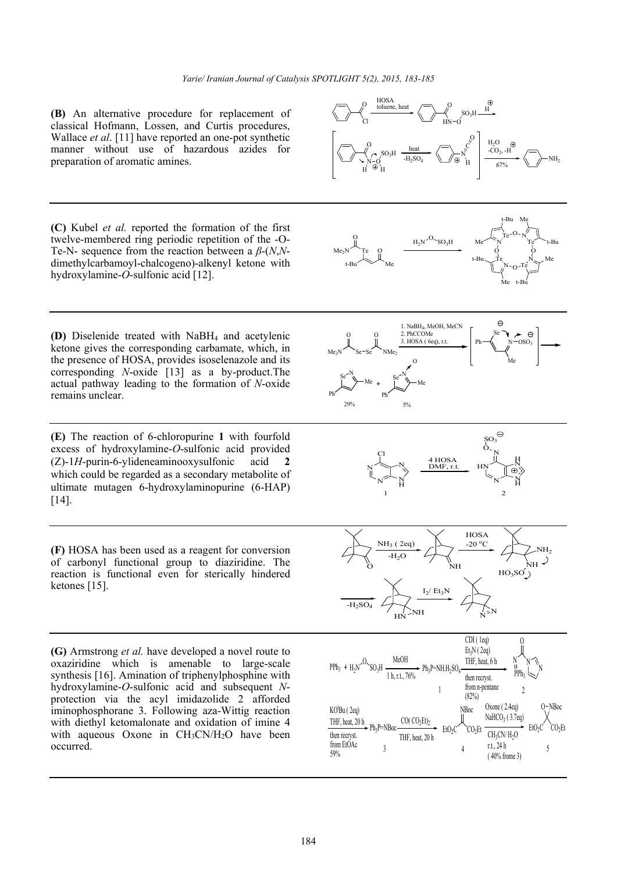**(B)** An alternative procedure for replacement of classical Hofmann, Lossen, and Curtis procedures, Wallace *et al*. [11] have reported an one-pot synthetic manner without use of hazardous azides for preparation of aromatic amines.

**(C)** Kubel *et al.* reported the formation of the first twelve-membered ring periodic repetition of the -O-Te-N- sequence from the reaction between a *β*-(*N*,*N*dimethylcarbamoyl-chalcogeno)-alkenyl ketone with hydroxylamine-*O*-sulfonic acid [12].

**(D)** Diselenide treated with NaBH4 and acetylenic ketone gives the corresponding carbamate, which, in the presence of HOSA, provides isoselenazole and its corresponding *N*-oxide [13] as a by-product.The actual pathway leading to the formation of *N*-oxide remains unclear.

**(E)** The reaction of 6-chloropurine **1** with fourfold excess of hydroxylamine-*O*-sulfonic acid provided (Z)-1*H*-purin-6-ylideneaminooxysulfonic acid **2** which could be regarded as a secondary metabolite of ultimate mutagen 6-hydroxylaminopurine (6-HAP) [14].

**(F)** HOSA has been used as a reagent for conversion of carbonyl functional group to diaziridine. The reaction is functional even for sterically hindered ketones [15].

**(G)** Armstrong *et al.* have developed a novel route to oxaziridine which is amenable to large-scale synthesis [16]. Amination of triphenylphosphine with hydroxylamine-*O*-sulfonic acid and subsequent *N*protection via the acyl imidazolide 2 afforded iminophosphorane 3. Following aza-Wittig reaction with diethyl ketomalonate and oxidation of imine 4 with aqueous Oxone in  $CH<sub>3</sub>CN/H<sub>2</sub>O$  have been occurred.